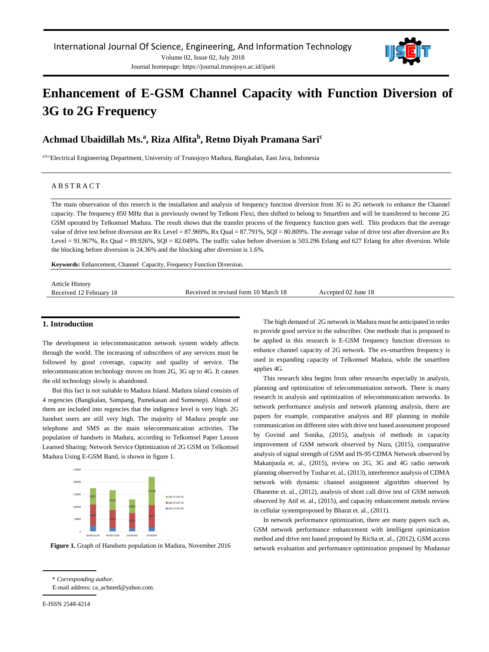Journal homepage: https://journal.trunojoyo.ac.id/ijseit



# **Enhancement of E-GSM Channel Capacity with Function Diversion of 3G to 2G Frequency**

## **Achmad Ubaidillah Ms.<sup>a</sup> , Riza Alfita<sup>b</sup> , Retno Diyah Pramana Sari<sup>c</sup>**

a,b,cElectrical Engineering Department, University of Trunojoyo Madura, Bangkalan, East Java, Indonesia

## A B S T R A C T

The main observation of this reserch is the installation and analysis of frequency function diversion from 3G to 2G network to enhance the Channel capacity. The frequency 850 MHz that is previously owned by Telkom Flexi, then shifted to belong to Smartfren and will be transferred to become 2G GSM operated by Telkomsel Madura. The result shows that the transfer process of the frequency function goes well. This produces that the average value of drive test before diversion are Rx Level = 87.969%, Rx Qual = 87.791%, SQI = 80.809%. The average value of drive test after diversion are Rx Level =  $91.967\%$ , Rx Qual =  $89.926\%$ , SQI =  $82.049\%$ . The traffic value before diversion is 503.296 Erlang and 627 Erlang for after diversion. While the blocking before diversion is 24.36% and the blocking after diversion is 1.6%.

**Keywords:** Enhancement, Channel Capacity, Frequency Function Diversion.

| <b>Article History</b>  |                                      |                     |
|-------------------------|--------------------------------------|---------------------|
| Received 12 February 18 | Received in revised form 10 March 18 | Accepted 02 June 18 |

## **1. Introduction**

The development in telecommunication network system widely affects through the world. The increasing of subscribers of any services must be followed by good coverage, capacity and quality of service. The telecommunication technology moves on from 2G, 3G up to 4G. It causes the old technology slowly is abandoned.

But this fact is not suitable to Madura Island. Madura island consists of 4 regencies (Bangkalan, Sampang, Pamekasan and Sumenep). Almost of them are included into regencies that the indigence level is very high. 2G handset users are still very high. The majority of Madura people use telephone and SMS as the main telecommunication activities. The population of handsets in Madura, according to Telkomsel Paper Lesson Learned Sharing: Network Service Optimization of 2G GSM on Telkomsel Madura Using E-GSM Band, is shown in figure 1.



**Figure 1.** Graph of Handsets population in Madura, November 2016

The high demand of 2G network in Madura must be anticipated in order to provide good service to the subscriber. One methode that is proposed to be applied in this research is E-GSM frequency function diversion to enhance channel capacity of 2G network. The ex-smartfren frequency is used in expanding capacity of Telkomsel Madura, while the smartfren applies 4G.

This research idea begins from other researchs especially in analysis, planning and optimization of telecommuniation network. There is many research in analysis and optimization of telecommunication networks. In network performance analysis and network planning analysis, there are papers for example, comparative analysis and RF planning in mobile communication on different sites with drive test based assessment proposed by Govind and Sonika, (2015), analysis of methods in capacity improvement of GSM network observed by Nura, (2015), comparative analysis of signal strength of GSM and IS-95 CDMA Network observed by Makanjuola et. al., (2015), review on 2G, 3G and 4G radio network planning observed by Tushar et. al., (2013), interference analysis of CDMA network with dynamic channel assignment algorithm observed by Ohaneme et. al., (2012), analysis of short call drive test of GSM network observed by Atif et. al., (2015), and capacity enhancement metods review in cellular systemproposed by Bharat et. al., (2011).

In network performance optimization, there are many papers such as, GSM network performance enhancement with intelligent optimization method and drive test based proposed by Richa et. al., (2012), GSM access network evaluation and performance optimization proposed by Mudassar

<sup>\*</sup> *Corresponding author.* E-mail address: ca\_achmed@yahoo.com.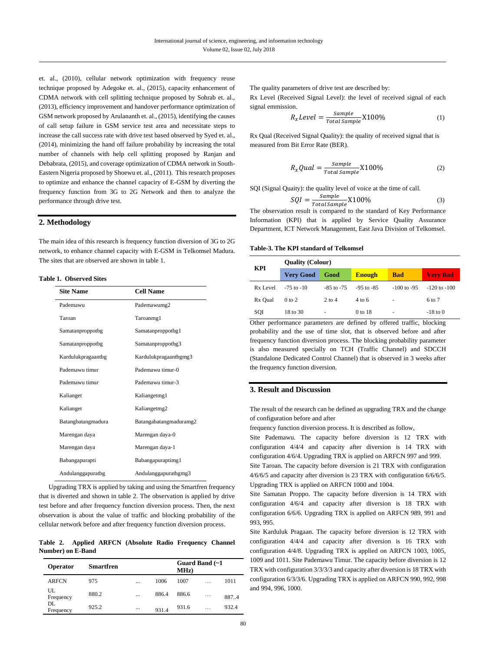et. al., (2010), cellular network optimization with frequency reuse technique proposed by Adegoke et. al., (2015), capacity enhancement of CDMA network with cell splitting technique proposed by Sohrab et. al., (2013), efficiency improvement and handover performance optimization of GSM network proposed by Arulananth et. al., (2015), identifying the causes of call setup failure in GSM service test area and necessitate steps to increase the call success rate with drive test based observed by Syed et. al., (2014), minimizing the hand off failure probability by increasing the total number of channels with help cell splitting proposed by Ranjan and Debabrata, (2015), and coverage optimization of CDMA network in South-Eastern Nigeria proposed by Shoewu et. al., (2011). This research proposes to optimize and enhance the channel capaciry of E-GSM by diverting the frequency function from 3G to 2G Network and then to analyze the performance through drive test.

## **2. Methodology**

The main idea of this research is frequency function diversion of 3G to 2G network, to enhance channel capacity with E-GSM in Telkomsel Madura. The sites that are observed are shown in table 1.

## **Table 1. Observed Sites**

| <b>Site Name</b>   | <b>Cell Name</b>       |  |
|--------------------|------------------------|--|
| Pademawu           | Pademawumg2            |  |
| Taroan             | Taroanmg1              |  |
| Samatanproppotbg   | Samatanproppotbg1      |  |
| Samatanproppotbg   | Samatanproppotbg3      |  |
| Kardulukpragaantbg | Kardulukpragaantbgmg3  |  |
| Pademawu timur     | Pademawu timur-0       |  |
| Pademawu timur     | Pademawu timur-3       |  |
| Kalianget          | Kaliangetmg1           |  |
| Kalianget          | Kaliangetmg2           |  |
| Batangbatangmadura | Batangabatangmaduramg2 |  |
| Marengan daya      | Marengan daya-0        |  |
| Marengan daya      | Marengan daya-1        |  |
| Babangapurapti     | Babangapuraptimg1      |  |
| Andulanggapuratbg  | Andulanggapuratbgmg3   |  |

Upgrading TRX is applied by taking and using the Smartfren frequency that is diverted and shown in table 2. The observation is applied by drive test before and after frequency function diversion process. Then, the next observation is about the value of traffic and blocking probability of the cellular network before and after frequency function diversion process.

**Table 2. Applied ARFCN (Absolute Radio Frequency Channel Number) on E-Band**

| <b>Operator</b> | <b>Smartfren</b> |          |       | Guard Band (~1<br>MHz) |          |       |
|-----------------|------------------|----------|-------|------------------------|----------|-------|
| <b>ARFCN</b>    | 975              | $\cdots$ | 1006  | 1007                   | $\cdots$ | 1011  |
| UL<br>Frequency | 880.2            | $\cdots$ | 886.4 | 886.6                  | $\cdots$ | 887.4 |
| DL<br>Frequency | 925.2            | $\cdots$ | 931.4 | 931.6                  | $\cdots$ | 932.4 |

The quality parameters of drive test are described by:

Rx Level (Received Signal Level): the level of received signal of each signal emmission.

$$
R_xLevel = \frac{Sample}{Total Sample} \times 100\%
$$
 (1)

Rx Qual (Received Signal Quality): the quality of received signal that is measured from Bit Error Rate (BER).

$$
R_xquad = \frac{Sample}{Total Sample} \times 100\%
$$
 (2)

SQI (Signal Quaity): the quality level of voice at the time of call.

$$
SQL = \frac{Sample}{Total Sample} \times 100\%
$$
 (3)

The observation result is compared to the standard of Key Performance Information (KPI) that is applied by Service Quality Assurance Department, ICT Network Management, East Java Division of Telkomsel.

#### **Table-3. The KPI standard of Telkomsel**

| KPI      | <b>Quality (Colour)</b> |                |                   |                 |                  |  |
|----------|-------------------------|----------------|-------------------|-----------------|------------------|--|
|          | <b>Very Good</b>        | Good           | <b>Enough</b>     | <b>Bad</b>      | <b>Very Bad</b>  |  |
| Rx Level | $-75$ to $-10$          | $-85$ to $-75$ | $-95$ to $-85$    | $-100$ to $-95$ | $-120$ to $-100$ |  |
| Rx Qual  | $0$ to $2$              | $2$ to $4$     | $4 \text{ to } 6$ | ۰               | 6 to 7           |  |
| SQI      | 18 to 30                | ٠              | 0 to 18           | ٠               | $-18$ to 0       |  |

Other performance parameters are defined by offered traffic, blocking probability and the use of time slot, that is observed before and after frequency function diversion process. The blocking probability parameter is also measured specially on TCH (Traffic Channel) and SDCCH (Standalone Dedicated Control Channel) that is observed in 3 weeks after the frequency function diversion.

#### **3. Result and Discussion**

The result of the research can be defined as upgrading TRX and the change of configuration before and after

frequency function diversion process. It is described as follow,

Site Pademawu. The capacity before diversion is 12 TRX with configuration 4/4/4 and capacity after diversion is 14 TRX with configuration 4/6/4. Upgrading TRX is applied on ARFCN 997 and 999.

Site Taroan. The capacity before diversion is 21 TRX with configuration 4/6/6/5 and capacity after diversion is 23 TRX with configuration 6/6/6/5. Upgrading TRX is applied on ARFCN 1000 and 1004.

Site Samatan Proppo. The capacity before diversion is 14 TRX with configuration 4/6/4 and capacity after diversion is 18 TRX with configuration 6/6/6. Upgrading TRX is applied on ARFCN 989, 991 and 993, 995.

Site Karduluk Pragaan. The capacity before diversion is 12 TRX with configuration 4/4/4 and capacity after diversion is 16 TRX with configuration 4/4/8. Upgrading TRX is applied on ARFCN 1003, 1005, 1009 and 1011. Site Pademawu Timur. The capacity before diversion is 12 TRX with configuration 3/3/3/3 and capacity after diversion is 18 TRX with configuration 6/3/3/6. Upgrading TRX is applied on ARFCN 990, 992, 998 and 994, 996, 1000.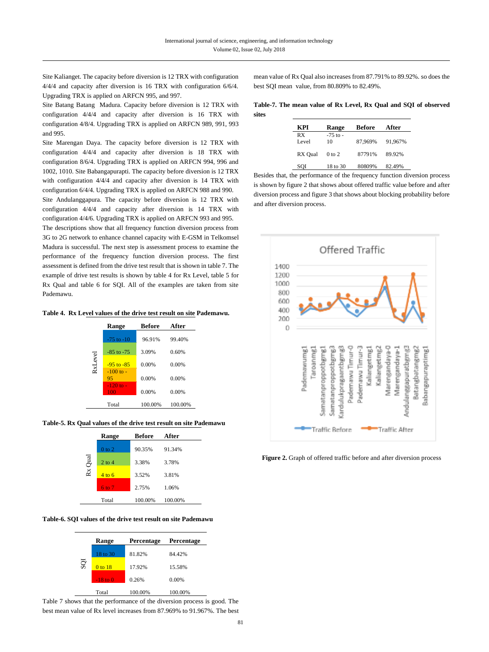Site Kalianget. The capacity before diversion is 12 TRX with configuration 4/4/4 and capacity after diversion is 16 TRX with configuration 6/6/4. Upgrading TRX is applied on ARFCN 995, and 997.

Site Batang Batang Madura. Capacity before diversion is 12 TRX with configuration 4/4/4 and capacity after diversion is 16 TRX with configuration 4/8/4. Upgrading TRX is applied on ARFCN 989, 991, 993 and 995.

Site Marengan Daya. The capacity before diversion is 12 TRX with configuration 4/4/4 and capacity after diversion is 18 TRX with configuration 8/6/4. Upgrading TRX is applied on ARFCN 994, 996 and 1002, 1010. Site Babangapurapti. The capacity before diversion is 12 TRX with configuration 4/4/4 and capacity after diversion is 14 TRX with configuration 6/4/4. Upgrading TRX is applied on ARFCN 988 and 990.

Site Andulanggapura. The capacity before diversion is 12 TRX with configuration 4/4/4 and capacity after diversion is 14 TRX with configuration 4/4/6. Upgrading TRX is applied on ARFCN 993 and 995.

The descriptions show that all frequency function diversion process from 3G to 2G network to enhance channel capacity with E-GSM in Telkomsel Madura is successful. The next step is assessment process to examine the performance of the frequency function diversion process. The first assessment is defined from the drive test result that is shown in table 7. The example of drive test results is shown by table 4 for Rx Level, table 5 for Rx Qual and table 6 for SQI. All of the examples are taken from site Pademawu.

**Table 4. Rx Level values of the drive test result on site Pademawu.**

|         | Range                | <b>Before</b> | After    |
|---------|----------------------|---------------|----------|
|         | $-75$ to $-10$       | 96.91%        | 99.40%   |
|         | $-85$ to $-75$       | 3.09%         | 0.60%    |
| RxLevel | $-95$ to $-85$       | $0.00\%$      | $0.00\%$ |
|         | $-100$ to $-$<br>95  | 0.00%         | $0.00\%$ |
|         | $-120$ to $-$<br>100 | 0.00%         | 0.00%    |
|         | Total                | 100.00%       | 100.00%  |

#### **Table-5. Rx Qual values of the drive test result on site Pademawu**

|         | Range             | <b>Before</b> | After   |
|---------|-------------------|---------------|---------|
|         | $0$ to $2$        | 90.35%        | 91.34%  |
| Rx Qual | $2$ to $4$        | 3.38%         | 3.78%   |
|         | $4 \text{ to } 6$ | 3.52%         | 3.81%   |
|         | $6 \times 7$      | 2.75%         | 1.06%   |
|         | Total             | 100.00%       | 100.00% |

**Table-6. SQI values of the drive test result on site Pademawu**

|     | Range      | Percentage | Percentage |
|-----|------------|------------|------------|
|     | 18 to 30   | 81.82%     | 84.42%     |
| SQI | $0$ to 18  | 17.92%     | 15.58%     |
|     | $-18$ to 0 | 0.26%      | 0.00%      |
|     | Total      | 100.00%    | 100.00%    |

Table 7 shows that the performance of the diversion process is good. The best mean value of Rx level increases from 87.969% to 91.967%. The best mean value of Rx Qual also increases from 87.791% to 89.92%. so does the best SQI mean value, from 80.809% to 82.49%.

**Table-7. The mean value of Rx Level, Rx Qual and SQI of observed sites**

| KPI         | Range              | Before  | After   |
|-------------|--------------------|---------|---------|
| RX<br>Level | $-75$ to $-$<br>10 | 87.969% | 91.967% |
| RX Qual     | $0$ to $2$         | 87791%  | 89.92%  |
| SOI         | 18 to 30           | 80809%  | 82.49%  |

Besides that, the performance of the frequency function diversion process is shown by figure 2 that shows about offered traffic value before and after diversion process and figure 3 that shows about blocking probability before and after diversion process.



Figure 2. Graph of offered traffic before and after diversion process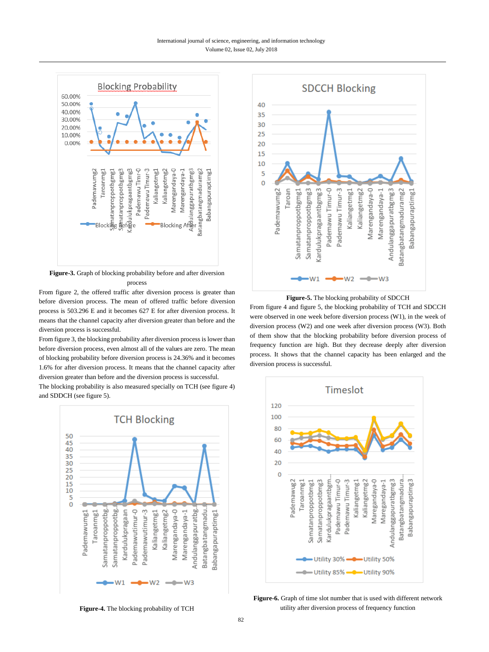#### International journal of science, engineering, and information technology Volume 02, Issue 02, July 2018



**Figure-3.** Graph of blocking probability before and after diversion process

From figure 2, the offered traffic after diversion process is greater than before diversion process. The mean of offered traffic before diversion process is 503.296 E and it becomes 627 E for after diversion process. It means that the channel capacity after diversion greater than before and the diversion process is successful.

From figure 3, the blocking probability after diversion process is lower than before diversion process, even almost all of the values are zero. The mean of blocking probability before diversion process is 24.36% and it becomes 1.6% for after diversion process. It means that the channel capacity after diversion greater than before and the diversion process is successful.

The blocking probability is also measured specially on TCH (see figure 4) and SDDCH (see figure 5).







**Figure-5.** The blocking probability of SDCCH

From figure 4 and figure 5, the blocking probability of TCH and SDCCH were observed in one week before diversion process (W1), in the week of diversion process (W2) and one week after diversion process (W3). Both of them show that the blocking probability before diversion process of frequency function are high. But they decrease deeply after diversion process. It shows that the channel capacity has been enlarged and the diversion process is successful.



**Figure-6.** Graph of time slot number that is used with different network utility after diversion process of frequency function